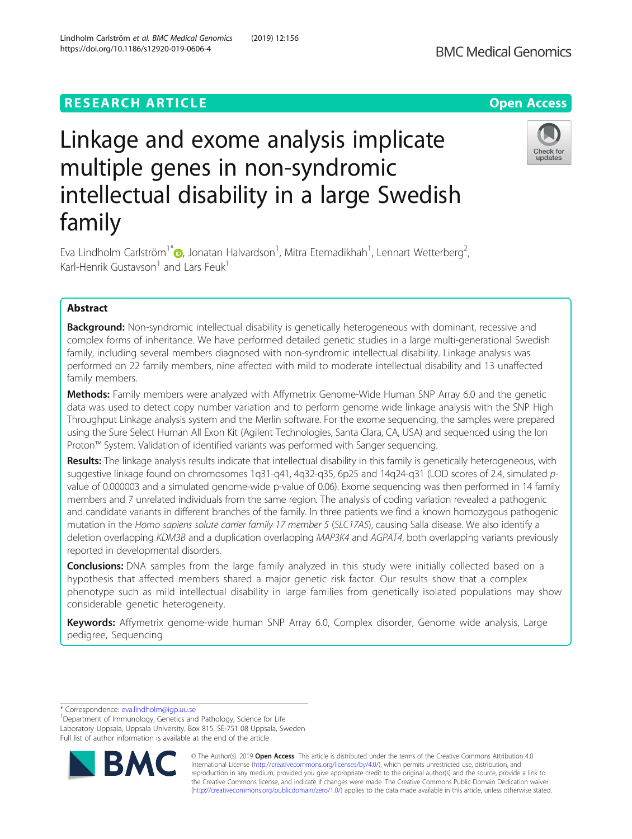# **RESEARCH ARTICLE Example 2014 12:30 The Contract of Contract ACCESS**

# Linkage and exome analysis implicate multiple genes in non-syndromic intellectual disability in a large Swedish family

Eva Lindholm Carlström $^{1^*}\text{\textcopyright}$ , Jonatan Halvardson $^1$ , Mitra Etemadikhah $^1$ , Lennart Wetterberg $^2$ .<br>, Karl-Henrik Gustavson<sup>1</sup> and Lars Feuk<sup>1</sup>

# Abstract

Background: Non-syndromic intellectual disability is genetically heterogeneous with dominant, recessive and complex forms of inheritance. We have performed detailed genetic studies in a large multi-generational Swedish family, including several members diagnosed with non-syndromic intellectual disability. Linkage analysis was performed on 22 family members, nine affected with mild to moderate intellectual disability and 13 unaffected family members.

Methods: Family members were analyzed with Affymetrix Genome-Wide Human SNP Array 6.0 and the genetic data was used to detect copy number variation and to perform genome wide linkage analysis with the SNP High Throughput Linkage analysis system and the Merlin software. For the exome sequencing, the samples were prepared using the Sure Select Human All Exon Kit (Agilent Technologies, Santa Clara, CA, USA) and sequenced using the Ion Proton™ System. Validation of identified variants was performed with Sanger sequencing.

Results: The linkage analysis results indicate that intellectual disability in this family is genetically heterogeneous, with suggestive linkage found on chromosomes 1q31-q41, 4q32-q35, 6p25 and 14q24-q31 (LOD scores of 2.4, simulated pvalue of 0.000003 and a simulated genome-wide p-value of 0.06). Exome sequencing was then performed in 14 family members and 7 unrelated individuals from the same region. The analysis of coding variation revealed a pathogenic and candidate variants in different branches of the family. In three patients we find a known homozygous pathogenic mutation in the Homo sapiens solute carrier family 17 member 5 (SLC17A5), causing Salla disease. We also identify a deletion overlapping KDM3B and a duplication overlapping MAP3K4 and AGPAT4, both overlapping variants previously reported in developmental disorders.

**Conclusions:** DNA samples from the large family analyzed in this study were initially collected based on a hypothesis that affected members shared a major genetic risk factor. Our results show that a complex phenotype such as mild intellectual disability in large families from genetically isolated populations may show considerable genetic heterogeneity.

Keywords: Affymetrix genome-wide human SNP Array 6.0, Complex disorder, Genome wide analysis, Large pedigree, Sequencing

\* Correspondence: [eva.lindholm@igp.uu.se](mailto:eva.lindholm@igp.uu.se) <sup>1</sup>

**BM** 

<sup>1</sup>Department of Immunology, Genetics and Pathology, Science for Life Laboratory Uppsala, Uppsala University, Box 815, SE-751 08 Uppsala, Sweden Full list of author information is available at the end of the article







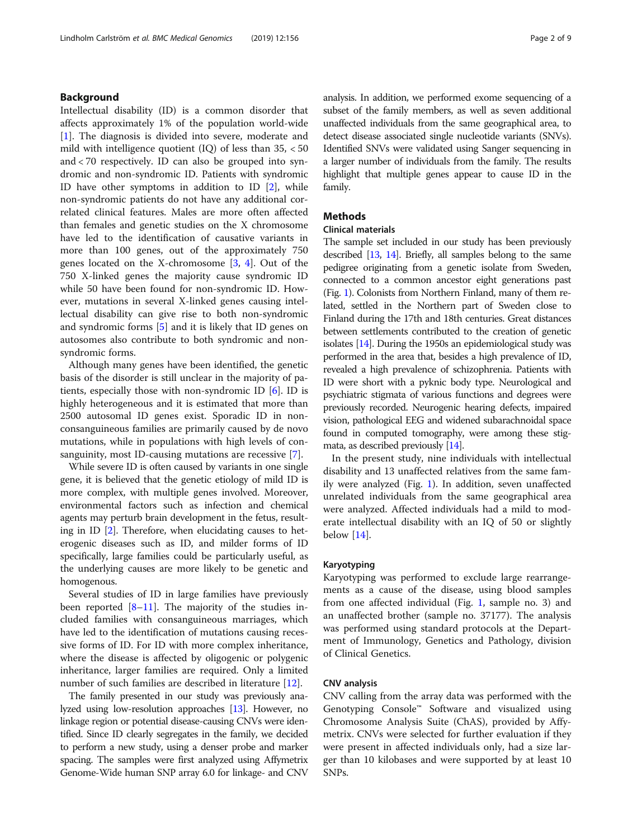# Background

Intellectual disability (ID) is a common disorder that affects approximately 1% of the population world-wide [[1\]](#page-8-0). The diagnosis is divided into severe, moderate and mild with intelligence quotient (IQ) of less than 35, < 50 and < 70 respectively. ID can also be grouped into syndromic and non-syndromic ID. Patients with syndromic ID have other symptoms in addition to ID [[2](#page-8-0)], while non-syndromic patients do not have any additional correlated clinical features. Males are more often affected than females and genetic studies on the X chromosome have led to the identification of causative variants in more than 100 genes, out of the approximately 750 genes located on the X-chromosome [[3,](#page-8-0) [4\]](#page-8-0). Out of the 750 X-linked genes the majority cause syndromic ID while 50 have been found for non-syndromic ID. However, mutations in several X-linked genes causing intellectual disability can give rise to both non-syndromic and syndromic forms [\[5](#page-8-0)] and it is likely that ID genes on autosomes also contribute to both syndromic and nonsyndromic forms.

Although many genes have been identified, the genetic basis of the disorder is still unclear in the majority of patients, especially those with non-syndromic ID  $[6]$  $[6]$  $[6]$ . ID is highly heterogeneous and it is estimated that more than 2500 autosomal ID genes exist. Sporadic ID in nonconsanguineous families are primarily caused by de novo mutations, while in populations with high levels of consanguinity, most ID-causing mutations are recessive [[7\]](#page-8-0).

While severe ID is often caused by variants in one single gene, it is believed that the genetic etiology of mild ID is more complex, with multiple genes involved. Moreover, environmental factors such as infection and chemical agents may perturb brain development in the fetus, resulting in ID [\[2](#page-8-0)]. Therefore, when elucidating causes to heterogenic diseases such as ID, and milder forms of ID specifically, large families could be particularly useful, as the underlying causes are more likely to be genetic and homogenous.

Several studies of ID in large families have previously been reported  $[8-11]$  $[8-11]$  $[8-11]$  $[8-11]$ . The majority of the studies included families with consanguineous marriages, which have led to the identification of mutations causing recessive forms of ID. For ID with more complex inheritance, where the disease is affected by oligogenic or polygenic inheritance, larger families are required. Only a limited number of such families are described in literature [\[12\]](#page-8-0).

The family presented in our study was previously analyzed using low-resolution approaches [\[13\]](#page-8-0). However, no linkage region or potential disease-causing CNVs were identified. Since ID clearly segregates in the family, we decided to perform a new study, using a denser probe and marker spacing. The samples were first analyzed using Affymetrix Genome-Wide human SNP array 6.0 for linkage- and CNV analysis. In addition, we performed exome sequencing of a subset of the family members, as well as seven additional unaffected individuals from the same geographical area, to detect disease associated single nucleotide variants (SNVs). Identified SNVs were validated using Sanger sequencing in a larger number of individuals from the family. The results highlight that multiple genes appear to cause ID in the family.

# Methods

# Clinical materials

The sample set included in our study has been previously described [\[13,](#page-8-0) [14](#page-8-0)]. Briefly, all samples belong to the same pedigree originating from a genetic isolate from Sweden, connected to a common ancestor eight generations past (Fig. [1\)](#page-2-0). Colonists from Northern Finland, many of them related, settled in the Northern part of Sweden close to Finland during the 17th and 18th centuries. Great distances between settlements contributed to the creation of genetic isolates [\[14\]](#page-8-0). During the 1950s an epidemiological study was performed in the area that, besides a high prevalence of ID, revealed a high prevalence of schizophrenia. Patients with ID were short with a pyknic body type. Neurological and psychiatric stigmata of various functions and degrees were previously recorded. Neurogenic hearing defects, impaired vision, pathological EEG and widened subarachnoidal space found in computed tomography, were among these stigmata, as described previously [\[14\]](#page-8-0).

In the present study, nine individuals with intellectual disability and 13 unaffected relatives from the same family were analyzed (Fig. [1\)](#page-2-0). In addition, seven unaffected unrelated individuals from the same geographical area were analyzed. Affected individuals had a mild to moderate intellectual disability with an IQ of 50 or slightly below [[14\]](#page-8-0).

# Karyotyping

Karyotyping was performed to exclude large rearrangements as a cause of the disease, using blood samples from one affected individual (Fig. [1](#page-2-0), sample no. 3) and an unaffected brother (sample no. 37177). The analysis was performed using standard protocols at the Department of Immunology, Genetics and Pathology, division of Clinical Genetics.

#### CNV analysis

CNV calling from the array data was performed with the Genotyping Console™ Software and visualized using Chromosome Analysis Suite (ChAS), provided by Affymetrix. CNVs were selected for further evaluation if they were present in affected individuals only, had a size larger than 10 kilobases and were supported by at least 10 SNPs.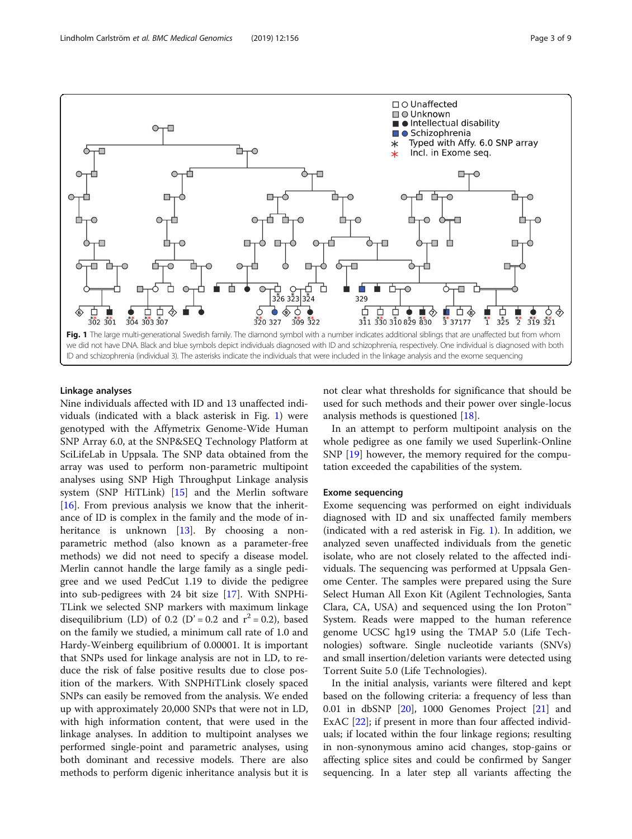<span id="page-2-0"></span>

#### Linkage analyses

Nine individuals affected with ID and 13 unaffected individuals (indicated with a black asterisk in Fig. 1) were genotyped with the Affymetrix Genome-Wide Human SNP Array 6.0, at the SNP&SEQ Technology Platform at SciLifeLab in Uppsala. The SNP data obtained from the array was used to perform non-parametric multipoint analyses using SNP High Throughput Linkage analysis system (SNP HiTLink) [\[15](#page-8-0)] and the Merlin software [[16\]](#page-8-0). From previous analysis we know that the inheritance of ID is complex in the family and the mode of in-heritance is unknown [\[13\]](#page-8-0). By choosing a nonparametric method (also known as a parameter-free methods) we did not need to specify a disease model. Merlin cannot handle the large family as a single pedigree and we used PedCut 1.19 to divide the pedigree into sub-pedigrees with 24 bit size [[17](#page-8-0)]. With SNPHi-TLink we selected SNP markers with maximum linkage disequilibrium (LD) of 0.2 (D' = 0.2 and  $r^2$  = 0.2), based on the family we studied, a minimum call rate of 1.0 and Hardy-Weinberg equilibrium of 0.00001. It is important that SNPs used for linkage analysis are not in LD, to reduce the risk of false positive results due to close position of the markers. With SNPHiTLink closely spaced SNPs can easily be removed from the analysis. We ended up with approximately 20,000 SNPs that were not in LD, with high information content, that were used in the linkage analyses. In addition to multipoint analyses we performed single-point and parametric analyses, using both dominant and recessive models. There are also methods to perform digenic inheritance analysis but it is not clear what thresholds for significance that should be used for such methods and their power over single-locus analysis methods is questioned [\[18\]](#page-8-0).

In an attempt to perform multipoint analysis on the whole pedigree as one family we used Superlink-Online SNP [\[19\]](#page-8-0) however, the memory required for the computation exceeded the capabilities of the system.

#### Exome sequencing

Exome sequencing was performed on eight individuals diagnosed with ID and six unaffected family members (indicated with a red asterisk in Fig. 1). In addition, we analyzed seven unaffected individuals from the genetic isolate, who are not closely related to the affected individuals. The sequencing was performed at Uppsala Genome Center. The samples were prepared using the Sure Select Human All Exon Kit (Agilent Technologies, Santa Clara, CA, USA) and sequenced using the Ion Proton™ System. Reads were mapped to the human reference genome UCSC hg19 using the TMAP 5.0 (Life Technologies) software. Single nucleotide variants (SNVs) and small insertion/deletion variants were detected using Torrent Suite 5.0 (Life Technologies).

In the initial analysis, variants were filtered and kept based on the following criteria: a frequency of less than  $0.01$  in dbSNP  $[20]$  $[20]$  $[20]$ , 1000 Genomes Project  $[21]$  and ExAC [[22\]](#page-8-0); if present in more than four affected individuals; if located within the four linkage regions; resulting in non-synonymous amino acid changes, stop-gains or affecting splice sites and could be confirmed by Sanger sequencing. In a later step all variants affecting the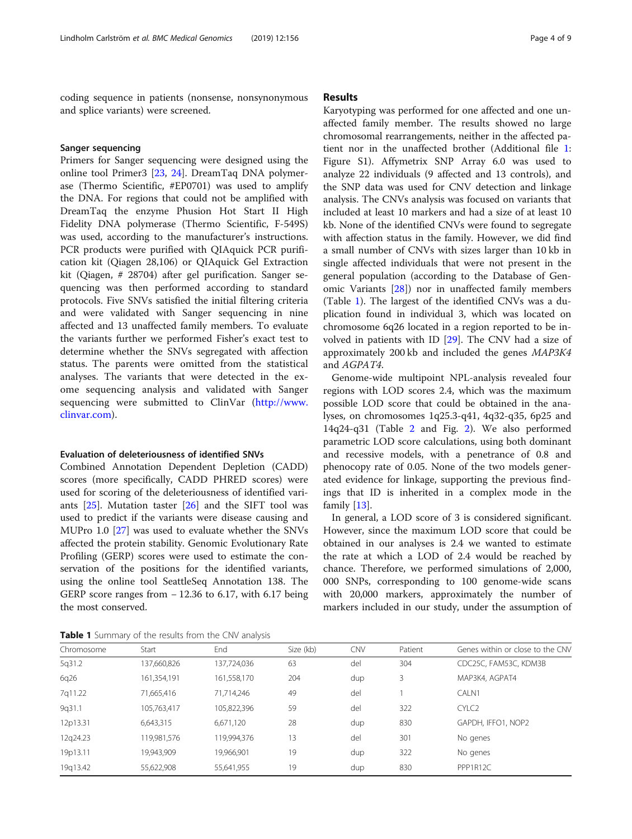coding sequence in patients (nonsense, nonsynonymous and splice variants) were screened.

#### Sanger sequencing

Primers for Sanger sequencing were designed using the online tool Primer3 [[23](#page-8-0), [24](#page-8-0)]. DreamTaq DNA polymerase (Thermo Scientific, #EP0701) was used to amplify the DNA. For regions that could not be amplified with DreamTaq the enzyme Phusion Hot Start II High Fidelity DNA polymerase (Thermo Scientific, F-549S) was used, according to the manufacturer's instructions. PCR products were purified with QIAquick PCR purification kit (Qiagen 28,106) or QIAquick Gel Extraction kit (Qiagen, # 28704) after gel purification. Sanger sequencing was then performed according to standard protocols. Five SNVs satisfied the initial filtering criteria and were validated with Sanger sequencing in nine affected and 13 unaffected family members. To evaluate the variants further we performed Fisher's exact test to determine whether the SNVs segregated with affection status. The parents were omitted from the statistical analyses. The variants that were detected in the exome sequencing analysis and validated with Sanger sequencing were submitted to ClinVar ([http://www.](http://www.clinvar.com) [clinvar.com](http://www.clinvar.com)).

## Evaluation of deleteriousness of identified SNVs

Combined Annotation Dependent Depletion (CADD) scores (more specifically, CADD PHRED scores) were used for scoring of the deleteriousness of identified variants  $[25]$  $[25]$ . Mutation taster  $[26]$  $[26]$  and the SIFT tool was used to predict if the variants were disease causing and MUPro 1.0 [\[27](#page-8-0)] was used to evaluate whether the SNVs affected the protein stability. Genomic Evolutionary Rate Profiling (GERP) scores were used to estimate the conservation of the positions for the identified variants, using the online tool SeattleSeq Annotation 138. The GERP score ranges from − 12.36 to 6.17, with 6.17 being the most conserved.

# Results

Karyotyping was performed for one affected and one unaffected family member. The results showed no large chromosomal rearrangements, neither in the affected patient nor in the unaffected brother (Additional file [1](#page-7-0): Figure S1). Affymetrix SNP Array 6.0 was used to analyze 22 individuals (9 affected and 13 controls), and the SNP data was used for CNV detection and linkage analysis. The CNVs analysis was focused on variants that included at least 10 markers and had a size of at least 10 kb. None of the identified CNVs were found to segregate with affection status in the family. However, we did find a small number of CNVs with sizes larger than 10 kb in single affected individuals that were not present in the general population (according to the Database of Genomic Variants [[28](#page-8-0)]) nor in unaffected family members (Table 1). The largest of the identified CNVs was a duplication found in individual 3, which was located on chromosome 6q26 located in a region reported to be involved in patients with ID [\[29](#page-8-0)]. The CNV had a size of approximately 200 kb and included the genes MAP3K4 and AGPAT4.

Genome-wide multipoint NPL-analysis revealed four regions with LOD scores 2.4, which was the maximum possible LOD score that could be obtained in the analyses, on chromosomes 1q25.3-q41, 4q32-q35, 6p25 and 14q24-q31 (Table [2](#page-4-0) and Fig. [2\)](#page-5-0). We also performed parametric LOD score calculations, using both dominant and recessive models, with a penetrance of 0.8 and phenocopy rate of 0.05. None of the two models generated evidence for linkage, supporting the previous findings that ID is inherited in a complex mode in the family [[13\]](#page-8-0).

In general, a LOD score of 3 is considered significant. However, since the maximum LOD score that could be obtained in our analyses is 2.4 we wanted to estimate the rate at which a LOD of 2.4 would be reached by chance. Therefore, we performed simulations of 2,000, 000 SNPs, corresponding to 100 genome-wide scans with 20,000 markers, approximately the number of markers included in our study, under the assumption of

Table 1 Summary of the results from the CNV analysis

| Chromosome | Start       | End         | Size (kb) | <b>CNV</b> | Patient | Genes within or close to the CNV |  |  |  |
|------------|-------------|-------------|-----------|------------|---------|----------------------------------|--|--|--|
| 5q31.2     | 137,660,826 | 137,724,036 | 63        | del        | 304     | CDC25C, FAM53C, KDM3B            |  |  |  |
| 6q26       | 161,354,191 | 161,558,170 | 204       | dup        | 3       | MAP3K4, AGPAT4                   |  |  |  |
| 7q11.22    | 71,665,416  | 71,714,246  | 49        | del        |         | CALN1                            |  |  |  |
| 9q31.1     | 105,763,417 | 105,822,396 | 59        | del        | 322     | CYLC <sub>2</sub>                |  |  |  |
| 12p13.31   | 6,643,315   | 6,671,120   | 28        | dup        | 830     | GAPDH, IFFO1, NOP2               |  |  |  |
| 12q24.23   | 119,981,576 | 119,994,376 | 13        | del        | 301     | No genes                         |  |  |  |
| 19p13.11   | 19,943,909  | 19,966,901  | 19        | dup        | 322     | No genes                         |  |  |  |
| 19q13.42   | 55,622,908  | 55,641,955  | 19        | dup        | 830     | PPP1R12C                         |  |  |  |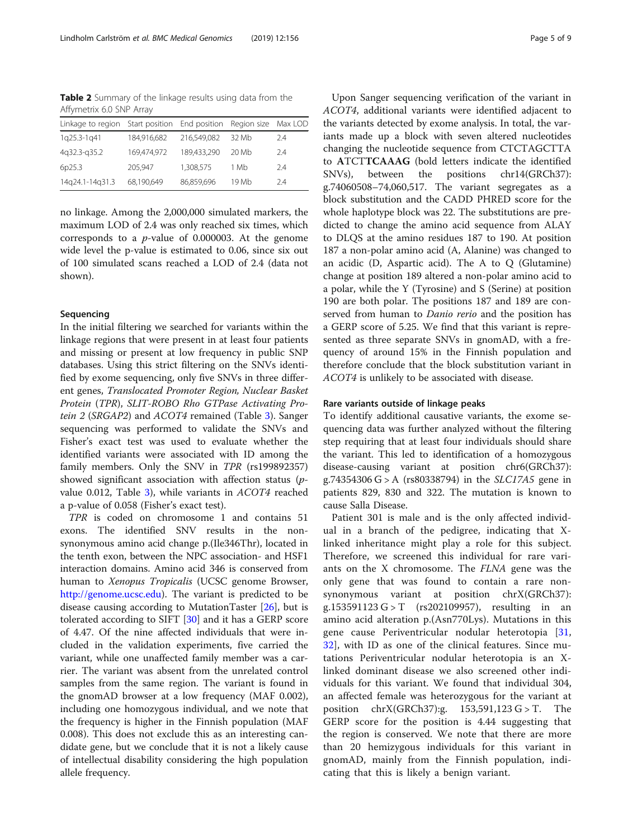<span id="page-4-0"></span>Table 2 Summary of the linkage results using data from the Affymetrix 6.0 SNP Array

| Linkage to region Start position |             | End position | Region size Max LOD |     |
|----------------------------------|-------------|--------------|---------------------|-----|
| 1q25.3-1q41                      | 184,916,682 | 216.549.082  | 32 Mb               | 2.4 |
| 4g32.3-g35.2                     | 169,474.972 | 189,433,290  | 20 Mb               | 2.4 |
| 6p25.3                           | 205,947     | 1,308,575    | 1 Mb                | 2.4 |
| 14q24.1-14q31.3                  | 68,190,649  | 86,859,696   | 19 Mb               | 24  |

no linkage. Among the 2,000,000 simulated markers, the maximum LOD of 2.4 was only reached six times, which corresponds to a  $p$ -value of 0.000003. At the genome wide level the p-value is estimated to 0.06, since six out of 100 simulated scans reached a LOD of 2.4 (data not shown).

## Sequencing

In the initial filtering we searched for variants within the linkage regions that were present in at least four patients and missing or present at low frequency in public SNP databases. Using this strict filtering on the SNVs identified by exome sequencing, only five SNVs in three different genes, Translocated Promoter Region, Nuclear Basket Protein (TPR), SLIT-ROBO Rho GTPase Activating Pro-tein 2 (SRGAP2) and ACOT4 remained (Table [3\)](#page-5-0). Sanger sequencing was performed to validate the SNVs and Fisher's exact test was used to evaluate whether the identified variants were associated with ID among the family members. Only the SNV in TPR (rs199892357) showed significant association with affection status (pvalue 0.012, Table [3](#page-5-0)), while variants in ACOT4 reached a p-value of 0.058 (Fisher's exact test).

TPR is coded on chromosome 1 and contains 51 exons. The identified SNV results in the nonsynonymous amino acid change p.(Ile346Thr), located in the tenth exon, between the NPC association- and HSF1 interaction domains. Amino acid 346 is conserved from human to Xenopus Tropicalis (UCSC genome Browser, <http://genome.ucsc.edu>). The variant is predicted to be disease causing according to MutationTaster [[26](#page-8-0)], but is tolerated according to SIFT [[30\]](#page-8-0) and it has a GERP score of 4.47. Of the nine affected individuals that were included in the validation experiments, five carried the variant, while one unaffected family member was a carrier. The variant was absent from the unrelated control samples from the same region. The variant is found in the gnomAD browser at a low frequency (MAF 0.002), including one homozygous individual, and we note that the frequency is higher in the Finnish population (MAF 0.008). This does not exclude this as an interesting candidate gene, but we conclude that it is not a likely cause of intellectual disability considering the high population allele frequency.

Upon Sanger sequencing verification of the variant in ACOT4, additional variants were identified adjacent to the variants detected by exome analysis. In total, the variants made up a block with seven altered nucleotides changing the nucleotide sequence from CTCTAGCTTA to ATCTTCAAAG (bold letters indicate the identified SNVs), between the positions chr14(GRCh37): g.74060508–74,060,517. The variant segregates as a block substitution and the CADD PHRED score for the whole haplotype block was 22. The substitutions are predicted to change the amino acid sequence from ALAY to DLQS at the amino residues 187 to 190. At position 187 a non-polar amino acid (A, Alanine) was changed to an acidic (D, Aspartic acid). The A to  $Q$  (Glutamine) change at position 189 altered a non-polar amino acid to a polar, while the Y (Tyrosine) and S (Serine) at position 190 are both polar. The positions 187 and 189 are conserved from human to *Danio rerio* and the position has a GERP score of 5.25. We find that this variant is represented as three separate SNVs in gnomAD, with a frequency of around 15% in the Finnish population and therefore conclude that the block substitution variant in ACOT4 is unlikely to be associated with disease.

# Rare variants outside of linkage peaks

To identify additional causative variants, the exome sequencing data was further analyzed without the filtering step requiring that at least four individuals should share the variant. This led to identification of a homozygous disease-causing variant at position chr6(GRCh37): g.74354306 G > A (rs80338794) in the SLC17A5 gene in patients 829, 830 and 322. The mutation is known to cause Salla Disease.

Patient 301 is male and is the only affected individual in a branch of the pedigree, indicating that Xlinked inheritance might play a role for this subject. Therefore, we screened this individual for rare variants on the X chromosome. The FLNA gene was the only gene that was found to contain a rare nonsynonymous variant at position chrX(GRCh37): g.153591123 G > T (rs202109957), resulting in an amino acid alteration p.(Asn770Lys). Mutations in this gene cause Periventricular nodular heterotopia [\[31](#page-8-0), [32\]](#page-8-0), with ID as one of the clinical features. Since mutations Periventricular nodular heterotopia is an Xlinked dominant disease we also screened other individuals for this variant. We found that individual 304, an affected female was heterozygous for the variant at position chrX(GRCh37):g. 153,591,123 G > T. The GERP score for the position is 4.44 suggesting that the region is conserved. We note that there are more than 20 hemizygous individuals for this variant in gnomAD, mainly from the Finnish population, indicating that this is likely a benign variant.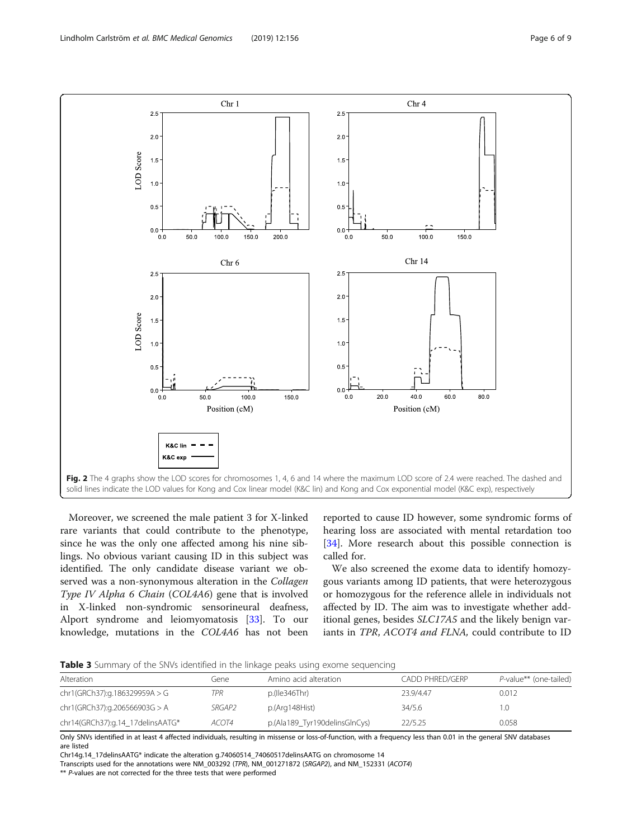<span id="page-5-0"></span>

Moreover, we screened the male patient 3 for X-linked rare variants that could contribute to the phenotype, since he was the only one affected among his nine siblings. No obvious variant causing ID in this subject was identified. The only candidate disease variant we observed was a non-synonymous alteration in the Collagen Type IV Alpha 6 Chain (COL4A6) gene that is involved in X-linked non-syndromic sensorineural deafness, Alport syndrome and leiomyomatosis [[33\]](#page-8-0). To our knowledge, mutations in the COL4A6 has not been

reported to cause ID however, some syndromic forms of hearing loss are associated with mental retardation too [[34\]](#page-8-0). More research about this possible connection is called for.

We also screened the exome data to identify homozygous variants among ID patients, that were heterozygous or homozygous for the reference allele in individuals not affected by ID. The aim was to investigate whether additional genes, besides SLC17A5 and the likely benign variants in TPR, ACOT4 and FLNA, could contribute to ID

Table 3 Summary of the SNVs identified in the linkage peaks using exome sequencing

| Alteration                       | (1ene- | Amino acid alteration         | CADD PHRED/GERP | P-value** (one-tailed) |  |  |  |
|----------------------------------|--------|-------------------------------|-----------------|------------------------|--|--|--|
| chr1(GRCh37):g.186329959A > G    | TPR    | p.(Ile346Thr)                 | 23.9/4.47       | 0.012                  |  |  |  |
| chr1(GRCh37):g.206566903G > A    | SRGAP2 | p.(Arg148Hist)                | 34/5.6          |                        |  |  |  |
| chr14(GRCh37):g.14_17delinsAATG* | ACOT4  | p.(Ala189_Tyr190delinsGlnCys) | 22/5.25         | 0.058                  |  |  |  |

Only SNVs identified in at least 4 affected individuals, resulting in missense or loss-of-function, with a frequency less than 0.01 in the general SNV databases are listed

Chr14g.14\_17delinsAATG\* indicate the alteration g.74060514\_74060517delinsAATG on chromosome 14

Transcripts used for the annotations were NM\_003292 (TPR), NM\_001271872 (SRGAP2), and NM\_152331 (ACOT4)

\*\* P-values are not corrected for the three tests that were performed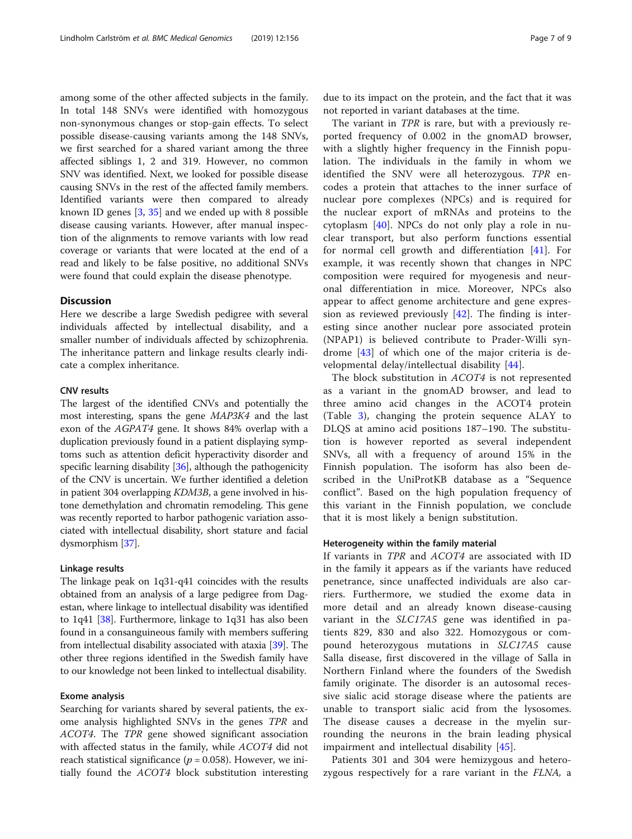among some of the other affected subjects in the family. In total 148 SNVs were identified with homozygous non-synonymous changes or stop-gain effects. To select possible disease-causing variants among the 148 SNVs, we first searched for a shared variant among the three affected siblings 1, 2 and 319. However, no common SNV was identified. Next, we looked for possible disease causing SNVs in the rest of the affected family members. Identified variants were then compared to already known ID genes [[3,](#page-8-0) [35\]](#page-8-0) and we ended up with 8 possible disease causing variants. However, after manual inspection of the alignments to remove variants with low read coverage or variants that were located at the end of a read and likely to be false positive, no additional SNVs were found that could explain the disease phenotype.

# **Discussion**

Here we describe a large Swedish pedigree with several individuals affected by intellectual disability, and a smaller number of individuals affected by schizophrenia. The inheritance pattern and linkage results clearly indicate a complex inheritance.

#### CNV results

The largest of the identified CNVs and potentially the most interesting, spans the gene MAP3K4 and the last exon of the AGPAT4 gene. It shows 84% overlap with a duplication previously found in a patient displaying symptoms such as attention deficit hyperactivity disorder and specific learning disability [[36](#page-8-0)], although the pathogenicity of the CNV is uncertain. We further identified a deletion in patient 304 overlapping KDM3B, a gene involved in histone demethylation and chromatin remodeling. This gene was recently reported to harbor pathogenic variation associated with intellectual disability, short stature and facial dysmorphism [[37](#page-8-0)].

#### Linkage results

The linkage peak on 1q31-q41 coincides with the results obtained from an analysis of a large pedigree from Dagestan, where linkage to intellectual disability was identified to 1q41 [\[38](#page-8-0)]. Furthermore, linkage to 1q31 has also been found in a consanguineous family with members suffering from intellectual disability associated with ataxia [[39](#page-8-0)]. The other three regions identified in the Swedish family have to our knowledge not been linked to intellectual disability.

## Exome analysis

Searching for variants shared by several patients, the exome analysis highlighted SNVs in the genes TPR and ACOT4. The TPR gene showed significant association with affected status in the family, while ACOT4 did not reach statistical significance ( $p = 0.058$ ). However, we initially found the ACOT4 block substitution interesting

due to its impact on the protein, and the fact that it was not reported in variant databases at the time.

The variant in TPR is rare, but with a previously reported frequency of 0.002 in the gnomAD browser, with a slightly higher frequency in the Finnish population. The individuals in the family in whom we identified the SNV were all heterozygous. TPR encodes a protein that attaches to the inner surface of nuclear pore complexes (NPCs) and is required for the nuclear export of mRNAs and proteins to the cytoplasm [[40\]](#page-8-0). NPCs do not only play a role in nuclear transport, but also perform functions essential for normal cell growth and differentiation [\[41](#page-8-0)]. For example, it was recently shown that changes in NPC composition were required for myogenesis and neuronal differentiation in mice. Moreover, NPCs also appear to affect genome architecture and gene expression as reviewed previously  $[42]$  $[42]$  $[42]$ . The finding is interesting since another nuclear pore associated protein (NPAP1) is believed contribute to Prader-Willi syndrome [[43\]](#page-8-0) of which one of the major criteria is developmental delay/intellectual disability [[44\]](#page-8-0).

The block substitution in ACOT4 is not represented as a variant in the gnomAD browser, and lead to three amino acid changes in the ACOT4 protein (Table [3\)](#page-5-0), changing the protein sequence ALAY to DLQS at amino acid positions 187–190. The substitution is however reported as several independent SNVs, all with a frequency of around 15% in the Finnish population. The isoform has also been described in the UniProtKB database as a "Sequence conflict". Based on the high population frequency of this variant in the Finnish population, we conclude that it is most likely a benign substitution.

#### Heterogeneity within the family material

If variants in TPR and ACOT4 are associated with ID in the family it appears as if the variants have reduced penetrance, since unaffected individuals are also carriers. Furthermore, we studied the exome data in more detail and an already known disease-causing variant in the SLC17A5 gene was identified in patients 829, 830 and also 322. Homozygous or compound heterozygous mutations in SLC17A5 cause Salla disease, first discovered in the village of Salla in Northern Finland where the founders of the Swedish family originate. The disorder is an autosomal recessive sialic acid storage disease where the patients are unable to transport sialic acid from the lysosomes. The disease causes a decrease in the myelin surrounding the neurons in the brain leading physical impairment and intellectual disability [[45\]](#page-8-0).

Patients 301 and 304 were hemizygous and heterozygous respectively for a rare variant in the FLNA, a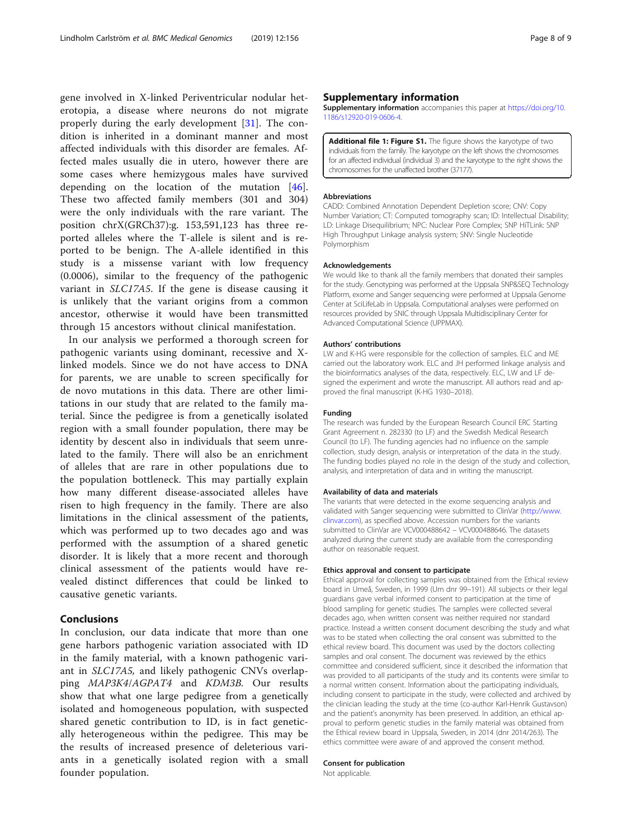<span id="page-7-0"></span>gene involved in X-linked Periventricular nodular heterotopia, a disease where neurons do not migrate properly during the early development [[31\]](#page-8-0). The condition is inherited in a dominant manner and most affected individuals with this disorder are females. Affected males usually die in utero, however there are some cases where hemizygous males have survived depending on the location of the mutation [\[46](#page-8-0)]. These two affected family members (301 and 304) were the only individuals with the rare variant. The position chrX(GRCh37):g. 153,591,123 has three reported alleles where the T-allele is silent and is reported to be benign. The A-allele identified in this study is a missense variant with low frequency (0.0006), similar to the frequency of the pathogenic variant in SLC17A5. If the gene is disease causing it is unlikely that the variant origins from a common ancestor, otherwise it would have been transmitted through 15 ancestors without clinical manifestation.

In our analysis we performed a thorough screen for pathogenic variants using dominant, recessive and Xlinked models. Since we do not have access to DNA for parents, we are unable to screen specifically for de novo mutations in this data. There are other limitations in our study that are related to the family material. Since the pedigree is from a genetically isolated region with a small founder population, there may be identity by descent also in individuals that seem unrelated to the family. There will also be an enrichment of alleles that are rare in other populations due to the population bottleneck. This may partially explain how many different disease-associated alleles have risen to high frequency in the family. There are also limitations in the clinical assessment of the patients, which was performed up to two decades ago and was performed with the assumption of a shared genetic disorder. It is likely that a more recent and thorough clinical assessment of the patients would have revealed distinct differences that could be linked to causative genetic variants.

# Conclusions

In conclusion, our data indicate that more than one gene harbors pathogenic variation associated with ID in the family material, with a known pathogenic variant in SLC17A5, and likely pathogenic CNVs overlapping MAP3K4/AGPAT4 and KDM3B. Our results show that what one large pedigree from a genetically isolated and homogeneous population, with suspected shared genetic contribution to ID, is in fact genetically heterogeneous within the pedigree. This may be the results of increased presence of deleterious variants in a genetically isolated region with a small founder population.

# Supplementary information

Supplementary information accompanies this paper at [https://doi.org/10.](https://doi.org/10.1186/s12920-019-0606-4) [1186/s12920-019-0606-4.](https://doi.org/10.1186/s12920-019-0606-4)

Additional file 1: Figure S1. The figure shows the karyotype of two individuals from the family. The karyotype on the left shows the chromosomes for an affected individual (individual 3) and the karyotype to the right shows the chromosomes for the unaffected brother (37177).

#### Abbreviations

CADD: Combined Annotation Dependent Depletion score; CNV: Copy Number Variation; CT: Computed tomography scan; ID: Intellectual Disability; LD: Linkage Disequilibrium; NPC: Nuclear Pore Complex; SNP HiTLink: SNP High Throughput Linkage analysis system; SNV: Single Nucleotide Polymorphism

#### Acknowledgements

We would like to thank all the family members that donated their samples for the study. Genotyping was performed at the Uppsala SNP&SEQ Technology Platform, exome and Sanger sequencing were performed at Uppsala Genome Center at SciLifeLab in Uppsala. Computational analyses were performed on resources provided by SNIC through Uppsala Multidisciplinary Center for Advanced Computational Science (UPPMAX).

#### Authors' contributions

LW and K-HG were responsible for the collection of samples. ELC and ME carried out the laboratory work. ELC and JH performed linkage analysis and the bioinformatics analyses of the data, respectively. ELC, LW and LF designed the experiment and wrote the manuscript. All authors read and approved the final manuscript (K-HG 1930–2018).

#### Funding

The research was funded by the European Research Council ERC Starting Grant Agreement n. 282330 (to LF) and the Swedish Medical Research Council (to LF). The funding agencies had no influence on the sample collection, study design, analysis or interpretation of the data in the study. The funding bodies played no role in the design of the study and collection, analysis, and interpretation of data and in writing the manuscript.

#### Availability of data and materials

The variants that were detected in the exome sequencing analysis and validated with Sanger sequencing were submitted to ClinVar ([http://www.](http://www.clinvar.com/) [clinvar.com\)](http://www.clinvar.com/), as specified above. Accession numbers for the variants submitted to ClinVar are VCV000488642 – VCV000488646. The datasets analyzed during the current study are available from the corresponding author on reasonable request.

#### Ethics approval and consent to participate

Ethical approval for collecting samples was obtained from the Ethical review board in Umeå, Sweden, in 1999 (Um dnr 99–191). All subjects or their legal guardians gave verbal informed consent to participation at the time of blood sampling for genetic studies. The samples were collected several decades ago, when written consent was neither required nor standard practice. Instead a written consent document describing the study and what was to be stated when collecting the oral consent was submitted to the ethical review board. This document was used by the doctors collecting samples and oral consent. The document was reviewed by the ethics committee and considered sufficient, since it described the information that was provided to all participants of the study and its contents were similar to a normal written consent. Information about the participating individuals, including consent to participate in the study, were collected and archived by the clinician leading the study at the time (co-author Karl-Henrik Gustavson) and the patient's anonymity has been preserved. In addition, an ethical approval to perform genetic studies in the family material was obtained from the Ethical review board in Uppsala, Sweden, in 2014 (dnr 2014/263). The ethics committee were aware of and approved the consent method.

## Consent for publication

Not applicable.